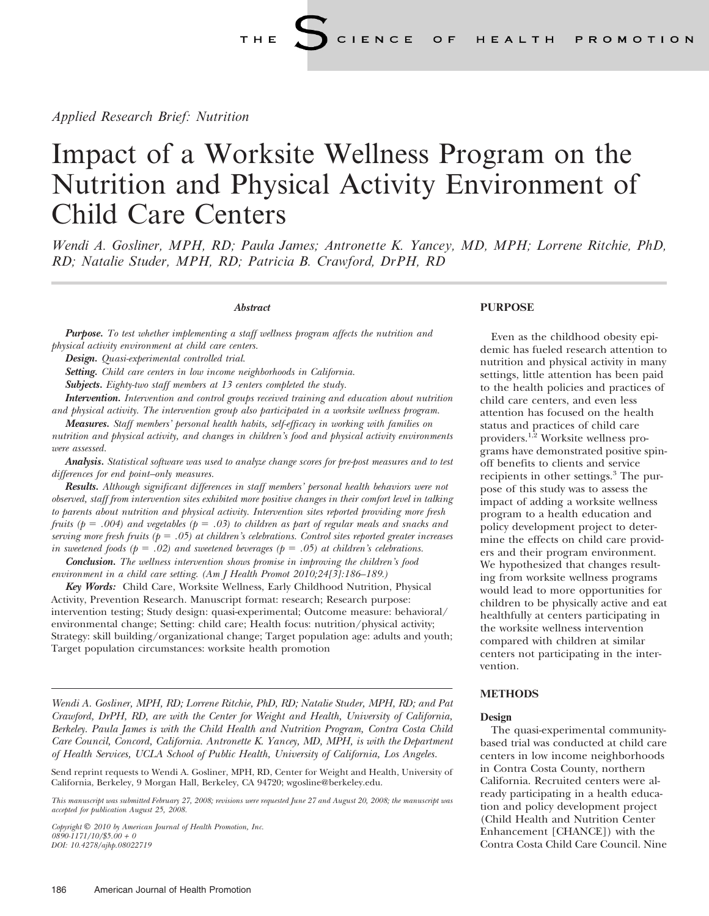Applied Research Brief: Nutrition

## Impact of a Worksite Wellness Program on the Nutrition and Physical Activity Environment of Child Care Centers

Wendi A. Gosliner, MPH, RD; Paula James; Antronette K. Yancey, MD, MPH; Lorrene Ritchie, PhD, RD; Natalie Studer, MPH, RD; Patricia B. Crawford, DrPH, RD

#### **Abstract**

**Purpose.** To test whether implementing a staff wellness program affects the nutrition and physical activity environment at child care centers.

Design. Quasi-experimental controlled trial.

Setting. Child care centers in low income neighborhoods in California.

Subjects. Eighty-two staff members at 13 centers completed the study.

Intervention. Intervention and control groups received training and education about nutrition and physical activity. The intervention group also participated in a worksite wellness program.

Measures. Staff members' personal health habits, self-efficacy in working with families on nutrition and physical activity, and changes in children's food and physical activity environments were assessed.

Analysis. Statistical software was used to analyze change scores for pre-post measures and to test differences for end point–only measures.

**Results.** Although significant differences in staff members' personal health behaviors were not observed, staff from intervention sites exhibited more positive changes in their comfort level in talking to parents about nutrition and physical activity. Intervention sites reported providing more fresh fruits ( $p = .004$ ) and vegetables ( $p = .03$ ) to children as part of regular meals and snacks and serving more fresh fruits ( $p = .05$ ) at children's celebrations. Control sites reported greater increases in sweetened foods ( $p = .02$ ) and sweetened beverages ( $p = .05$ ) at children's celebrations.

**Conclusion.** The wellness intervention shows promise in improving the children's food environment in a child care setting. (Am J Health Promot 2010;24[3]:186–189.)

Key Words: Child Care, Worksite Wellness, Early Childhood Nutrition, Physical Activity, Prevention Research. Manuscript format: research; Research purpose: intervention testing; Study design: quasi-experimental; Outcome measure: behavioral/ environmental change; Setting: child care; Health focus: nutrition/physical activity; Strategy: skill building/organizational change; Target population age: adults and youth; Target population circumstances: worksite health promotion

Wendi A. Gosliner, MPH, RD; Lorrene Ritchie, PhD, RD; Natalie Studer, MPH, RD; and Pat Crawford, DrPH, RD, are with the Center for Weight and Health, University of California, Berkeley. Paula James is with the Child Health and Nutrition Program, Contra Costa Child Care Council, Concord, California. Antronette K. Yancey, MD, MPH, is with the Department of Health Services, UCLA School of Public Health, University of California, Los Angeles.

Send reprint requests to Wendi A. Gosliner, MPH, RD, Center for Weight and Health, University of California, Berkeley, 9 Morgan Hall, Berkeley, CA 94720; wgosline@berkeley.edu.

This manuscript was submitted February 27, 2008; revisions were requested June 27 and August 20, 2008; the manuscript was accepted for publication August 25, 2008.

Copyright  $\mathbb{O}$  2010 by American Journal of Health Promotion, Inc.  $0890 - 1171/10$ /\$5.00 + 0 DOI: 10.4278/ajhp.08022719

#### PURPOSE

Even as the childhood obesity epidemic has fueled research attention to nutrition and physical activity in many settings, little attention has been paid to the health policies and practices of child care centers, and even less attention has focused on the health status and practices of child care providers.<sup>1,2</sup> Worksite wellness programs have demonstrated positive spinoff benefits to clients and service recipients in other settings.<sup>3</sup> The purpose of this study was to assess the impact of adding a worksite wellness program to a health education and policy development project to determine the effects on child care providers and their program environment. We hypothesized that changes resulting from worksite wellness programs would lead to more opportunities for children to be physically active and eat healthfully at centers participating in the worksite wellness intervention compared with children at similar centers not participating in the intervention.

#### **METHODS**

#### Design

The quasi-experimental communitybased trial was conducted at child care centers in low income neighborhoods in Contra Costa County, northern California. Recruited centers were already participating in a health education and policy development project (Child Health and Nutrition Center Enhancement [CHANCE]) with the Contra Costa Child Care Council. Nine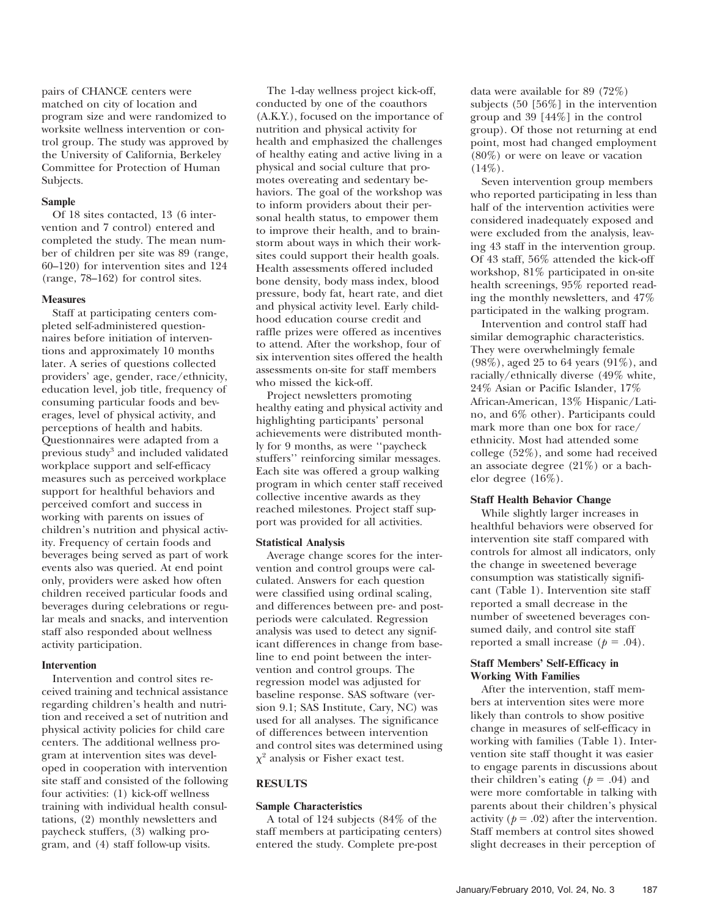pairs of CHANCE centers were matched on city of location and program size and were randomized to worksite wellness intervention or control group. The study was approved by the University of California, Berkeley Committee for Protection of Human Subjects.

#### Sample

Of 18 sites contacted, 13 (6 intervention and 7 control) entered and completed the study. The mean number of children per site was 89 (range, 60–120) for intervention sites and 124 (range, 78–162) for control sites.

#### **Measures**

Staff at participating centers completed self-administered questionnaires before initiation of interventions and approximately 10 months later. A series of questions collected providers' age, gender, race/ethnicity, education level, job title, frequency of consuming particular foods and beverages, level of physical activity, and perceptions of health and habits. Questionnaires were adapted from a previous study<sup>3</sup> and included validated workplace support and self-efficacy measures such as perceived workplace support for healthful behaviors and perceived comfort and success in working with parents on issues of children's nutrition and physical activity. Frequency of certain foods and beverages being served as part of work events also was queried. At end point only, providers were asked how often children received particular foods and beverages during celebrations or regular meals and snacks, and intervention staff also responded about wellness activity participation.

#### Intervention

Intervention and control sites received training and technical assistance regarding children's health and nutrition and received a set of nutrition and physical activity policies for child care centers. The additional wellness program at intervention sites was developed in cooperation with intervention site staff and consisted of the following four activities: (1) kick-off wellness training with individual health consultations, (2) monthly newsletters and paycheck stuffers, (3) walking program, and (4) staff follow-up visits.

The 1-day wellness project kick-off, conducted by one of the coauthors (A.K.Y.), focused on the importance of nutrition and physical activity for health and emphasized the challenges of healthy eating and active living in a physical and social culture that promotes overeating and sedentary behaviors. The goal of the workshop was to inform providers about their personal health status, to empower them to improve their health, and to brainstorm about ways in which their worksites could support their health goals. Health assessments offered included bone density, body mass index, blood pressure, body fat, heart rate, and diet and physical activity level. Early childhood education course credit and raffle prizes were offered as incentives to attend. After the workshop, four of six intervention sites offered the health assessments on-site for staff members who missed the kick-off.

Project newsletters promoting healthy eating and physical activity and highlighting participants' personal achievements were distributed monthly for 9 months, as were ''paycheck stuffers'' reinforcing similar messages. Each site was offered a group walking program in which center staff received collective incentive awards as they reached milestones. Project staff support was provided for all activities.

#### Statistical Analysis

Average change scores for the intervention and control groups were calculated. Answers for each question were classified using ordinal scaling, and differences between pre- and postperiods were calculated. Regression analysis was used to detect any significant differences in change from baseline to end point between the intervention and control groups. The regression model was adjusted for baseline response. SAS software (version 9.1; SAS Institute, Cary, NC) was used for all analyses. The significance of differences between intervention and control sites was determined using  $\chi^2$  analysis or Fisher exact test.

#### RESULTS

#### Sample Characteristics

A total of 124 subjects (84% of the staff members at participating centers) entered the study. Complete pre-post

data were available for 89 (72%) subjects (50 [56%] in the intervention group and 39 [44%] in the control group). Of those not returning at end point, most had changed employment (80%) or were on leave or vacation  $(14\%)$ .

Seven intervention group members who reported participating in less than half of the intervention activities were considered inadequately exposed and were excluded from the analysis, leaving 43 staff in the intervention group. Of 43 staff, 56% attended the kick-off workshop, 81% participated in on-site health screenings, 95% reported reading the monthly newsletters, and 47% participated in the walking program.

Intervention and control staff had similar demographic characteristics. They were overwhelmingly female (98%), aged 25 to 64 years (91%), and racially/ethnically diverse (49% white, 24% Asian or Pacific Islander, 17% African-American, 13% Hispanic/Latino, and 6% other). Participants could mark more than one box for race/ ethnicity. Most had attended some college (52%), and some had received an associate degree (21%) or a bachelor degree (16%).

#### Staff Health Behavior Change

While slightly larger increases in healthful behaviors were observed for intervention site staff compared with controls for almost all indicators, only the change in sweetened beverage consumption was statistically significant (Table 1). Intervention site staff reported a small decrease in the number of sweetened beverages consumed daily, and control site staff reported a small increase ( $p = .04$ ).

#### Staff Members' Self-Efficacy in Working With Families

After the intervention, staff members at intervention sites were more likely than controls to show positive change in measures of self-efficacy in working with families (Table 1). Intervention site staff thought it was easier to engage parents in discussions about their children's eating  $(p = .04)$  and were more comfortable in talking with parents about their children's physical activity ( $p = .02$ ) after the intervention. Staff members at control sites showed slight decreases in their perception of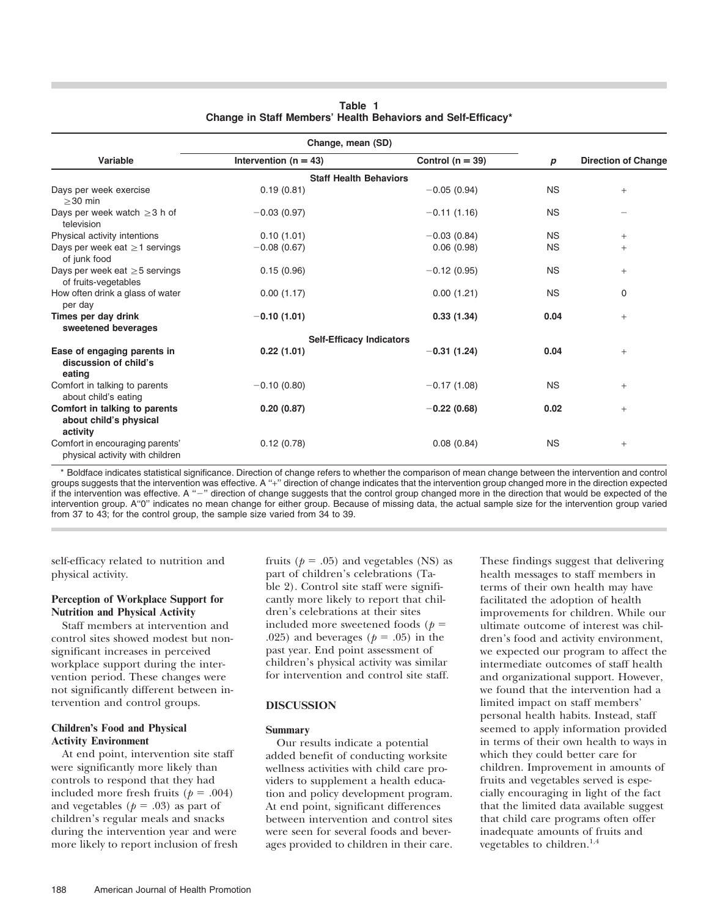| Change, mean (SD)                                                   |                                 |                      |           |                            |  |  |
|---------------------------------------------------------------------|---------------------------------|----------------------|-----------|----------------------------|--|--|
| Variable                                                            | Intervention ( $n = 43$ )       | Control ( $n = 39$ ) | p         | <b>Direction of Change</b> |  |  |
|                                                                     | <b>Staff Health Behaviors</b>   |                      |           |                            |  |  |
| Days per week exercise<br>$>30$ min                                 | 0.19(0.81)                      | $-0.05(0.94)$        | <b>NS</b> | $+$                        |  |  |
| Days per week watch $\geq$ 3 h of<br>television                     | $-0.03(0.97)$                   | $-0.11(1.16)$        | <b>NS</b> |                            |  |  |
| Physical activity intentions                                        | 0.10(1.01)                      | $-0.03(0.84)$        | <b>NS</b> | $+$                        |  |  |
| Days per week eat $\geq$ 1 servings<br>of junk food                 | $-0.08(0.67)$                   | 0.06(0.98)           | <b>NS</b> | $+$                        |  |  |
| Days per week eat $\geq$ 5 servings<br>of fruits-vegetables         | 0.15(0.96)                      | $-0.12(0.95)$        | <b>NS</b> | $+$                        |  |  |
| How often drink a glass of water<br>per day                         | 0.00(1.17)                      | 0.00(1.21)           | <b>NS</b> | 0                          |  |  |
| Times per day drink<br>sweetened beverages                          | $-0.10(1.01)$                   | 0.33(1.34)           | 0.04      | $+$                        |  |  |
|                                                                     | <b>Self-Efficacy Indicators</b> |                      |           |                            |  |  |
| Ease of engaging parents in<br>discussion of child's<br>eating      | 0.22(1.01)                      | $-0.31(1.24)$        | 0.04      | $+$                        |  |  |
| Comfort in talking to parents<br>about child's eating               | $-0.10(0.80)$                   | $-0.17(1.08)$        | <b>NS</b> | $+$                        |  |  |
| Comfort in talking to parents<br>about child's physical<br>activity | 0.20(0.87)                      | $-0.22(0.68)$        | 0.02      | $+$                        |  |  |
| Comfort in encouraging parents'<br>physical activity with children  | 0.12(0.78)                      | 0.08(0.84)           | <b>NS</b> | $+$                        |  |  |

#### Table 1 Change in Staff Members' Health Behaviors and Self-Efficacy\*

\* Boldface indicates statistical significance. Direction of change refers to whether the comparison of mean change between the intervention and control groups suggests that the intervention was effective. A "+" direction of change indicates that the intervention group changed more in the direction expected if the intervention was effective. A "-" direction of change suggests that the control group changed more in the direction that would be expected of the intervention group. A''0'' indicates no mean change for either group. Because of missing data, the actual sample size for the intervention group varied from 37 to 43; for the control group, the sample size varied from 34 to 39.

self-efficacy related to nutrition and physical activity.

#### Perception of Workplace Support for Nutrition and Physical Activity

Staff members at intervention and control sites showed modest but nonsignificant increases in perceived workplace support during the intervention period. These changes were not significantly different between intervention and control groups.

#### Children's Food and Physical Activity Environment

At end point, intervention site staff were significantly more likely than controls to respond that they had included more fresh fruits ( $p = .004$ ) and vegetables ( $p = .03$ ) as part of children's regular meals and snacks during the intervention year and were more likely to report inclusion of fresh fruits ( $p = .05$ ) and vegetables (NS) as part of children's celebrations (Table 2). Control site staff were significantly more likely to report that children's celebrations at their sites included more sweetened foods ( $p =$ .025) and beverages ( $p = .05$ ) in the past year. End point assessment of children's physical activity was similar for intervention and control site staff.

#### DISCUSSION

#### Summary

Our results indicate a potential added benefit of conducting worksite wellness activities with child care providers to supplement a health education and policy development program. At end point, significant differences between intervention and control sites were seen for several foods and beverages provided to children in their care. These findings suggest that delivering health messages to staff members in terms of their own health may have facilitated the adoption of health improvements for children. While our ultimate outcome of interest was children's food and activity environment, we expected our program to affect the intermediate outcomes of staff health and organizational support. However, we found that the intervention had a limited impact on staff members' personal health habits. Instead, staff seemed to apply information provided in terms of their own health to ways in which they could better care for children. Improvement in amounts of fruits and vegetables served is especially encouraging in light of the fact that the limited data available suggest that child care programs often offer inadequate amounts of fruits and vegetables to children. $1,4$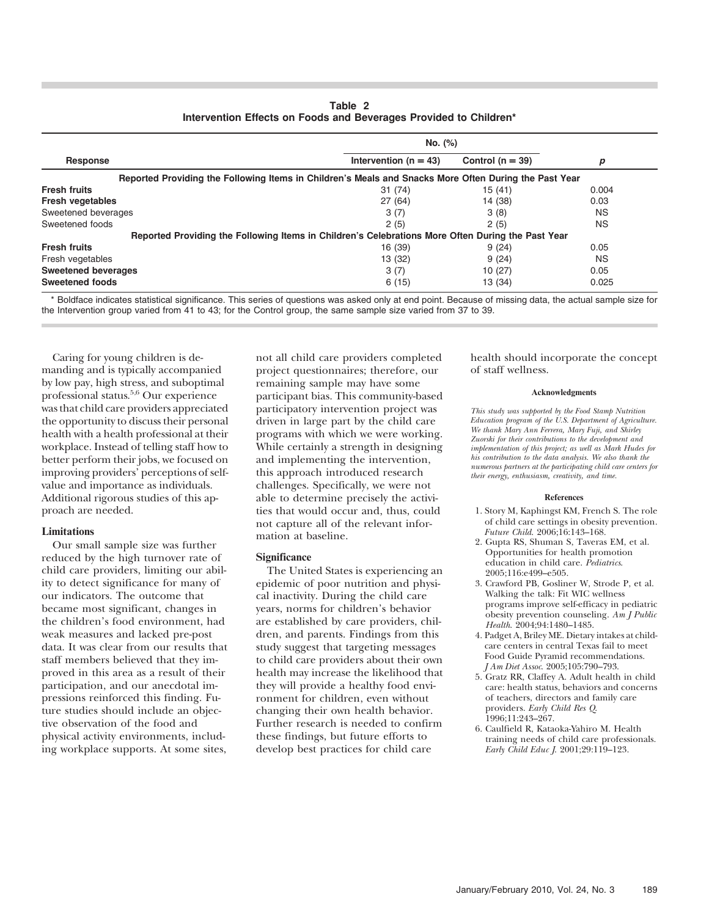Table 2 Intervention Effects on Foods and Beverages Provided to Children\*

|                            | No. (%)                                                                                               |                      |           |
|----------------------------|-------------------------------------------------------------------------------------------------------|----------------------|-----------|
| Response                   | Intervention ( $n = 43$ )                                                                             | Control ( $n = 39$ ) | p         |
|                            | Reported Providing the Following Items in Children's Meals and Snacks More Often During the Past Year |                      |           |
| <b>Fresh fruits</b>        | 31(74)                                                                                                | 15(41)               | 0.004     |
| <b>Fresh vegetables</b>    | 27(64)                                                                                                | 14 (38)              | 0.03      |
| Sweetened beverages        | 3(7)                                                                                                  | 3(8)                 | <b>NS</b> |
| Sweetened foods            | 2(5)                                                                                                  | 2(5)                 | <b>NS</b> |
|                            | Reported Providing the Following Items in Children's Celebrations More Often During the Past Year     |                      |           |
| <b>Fresh fruits</b>        | 16 (39)                                                                                               | 9(24)                | 0.05      |
| Fresh vegetables           | 13 (32)                                                                                               | 9(24)                | NS.       |
| <b>Sweetened beverages</b> | 3(7)                                                                                                  | 10(27)               | 0.05      |
| <b>Sweetened foods</b>     | 6(15)                                                                                                 | 13 (34)              | 0.025     |

\* Boldface indicates statistical significance. This series of questions was asked only at end point. Because of missing data, the actual sample size for the Intervention group varied from 41 to 43; for the Control group, the same sample size varied from 37 to 39.

Caring for young children is demanding and is typically accompanied by low pay, high stress, and suboptimal professional status.5,6 Our experience was that child care providers appreciated the opportunity to discuss their personal health with a health professional at their workplace. Instead of telling staff how to better perform their jobs, we focused on improving providers' perceptions of selfvalue and importance as individuals. Additional rigorous studies of this approach are needed.

#### Limitations

Our small sample size was further reduced by the high turnover rate of child care providers, limiting our ability to detect significance for many of our indicators. The outcome that became most significant, changes in the children's food environment, had weak measures and lacked pre-post data. It was clear from our results that staff members believed that they improved in this area as a result of their participation, and our anecdotal impressions reinforced this finding. Future studies should include an objective observation of the food and physical activity environments, including workplace supports. At some sites,

not all child care providers completed project questionnaires; therefore, our remaining sample may have some participant bias. This community-based participatory intervention project was driven in large part by the child care programs with which we were working. While certainly a strength in designing and implementing the intervention, this approach introduced research challenges. Specifically, we were not able to determine precisely the activities that would occur and, thus, could not capture all of the relevant information at baseline.

#### **Significance**

The United States is experiencing an epidemic of poor nutrition and physical inactivity. During the child care years, norms for children's behavior are established by care providers, children, and parents. Findings from this study suggest that targeting messages to child care providers about their own health may increase the likelihood that they will provide a healthy food environment for children, even without changing their own health behavior. Further research is needed to confirm these findings, but future efforts to develop best practices for child care

health should incorporate the concept of staff wellness.

#### Acknowledgments

This study was supported by the Food Stamp Nutrition Education program of the U.S. Department of Agriculture. We thank Mary Ann Ferrera, Mary Fuji, and Shirley Zuorski for their contributions to the development and implementation of this project; as well as Mark Hudes for his contribution to the data analysis. We also thank the numerous partners at the participating child care centers for their energy, enthusiasm, creativity, and time.

#### References

- 1. Story M, Kaphingst KM, French S. The role of child care settings in obesity prevention. Future Child. 2006;16:143-168.
- 2. Gupta RS, Shuman S, Taveras EM, et al. Opportunities for health promotion education in child care. Pediatrics. 2005;116:e499–e505.
- 3. Crawford PB, Gosliner W, Strode P, et al. Walking the talk: Fit WIC wellness programs improve self-efficacy in pediatric obesity prevention counseling. Am J Public Health. 2004;94:1480–1485.
- 4. Padget A, Briley ME. Dietary intakes at childcare centers in central Texas fail to meet Food Guide Pyramid recommendations. J Am Diet Assoc. 2005;105:790–793.
- 5. Gratz RR, Claffey A. Adult health in child care: health status, behaviors and concerns of teachers, directors and family care providers. Early Child Res Q. 1996;11:243–267.
- 6. Caulfield R, Kataoka-Yahiro M. Health training needs of child care professionals. Early Child Educ J. 2001;29:119–123.